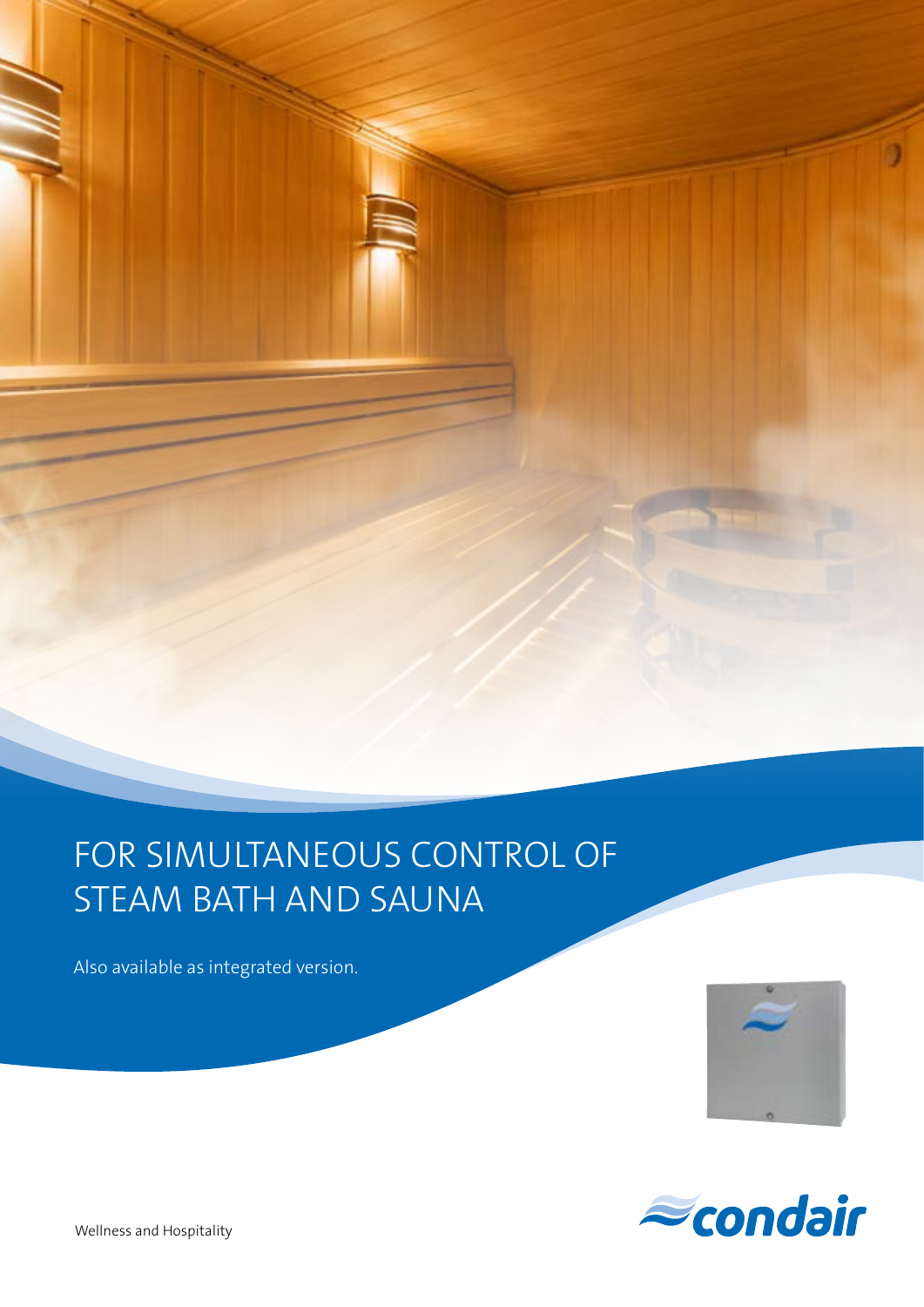# FOR SIMULTANEOUS CONTROL OF STEAM BATH AND SAUNA

Also available as integrated version.





Wellness and Hospitality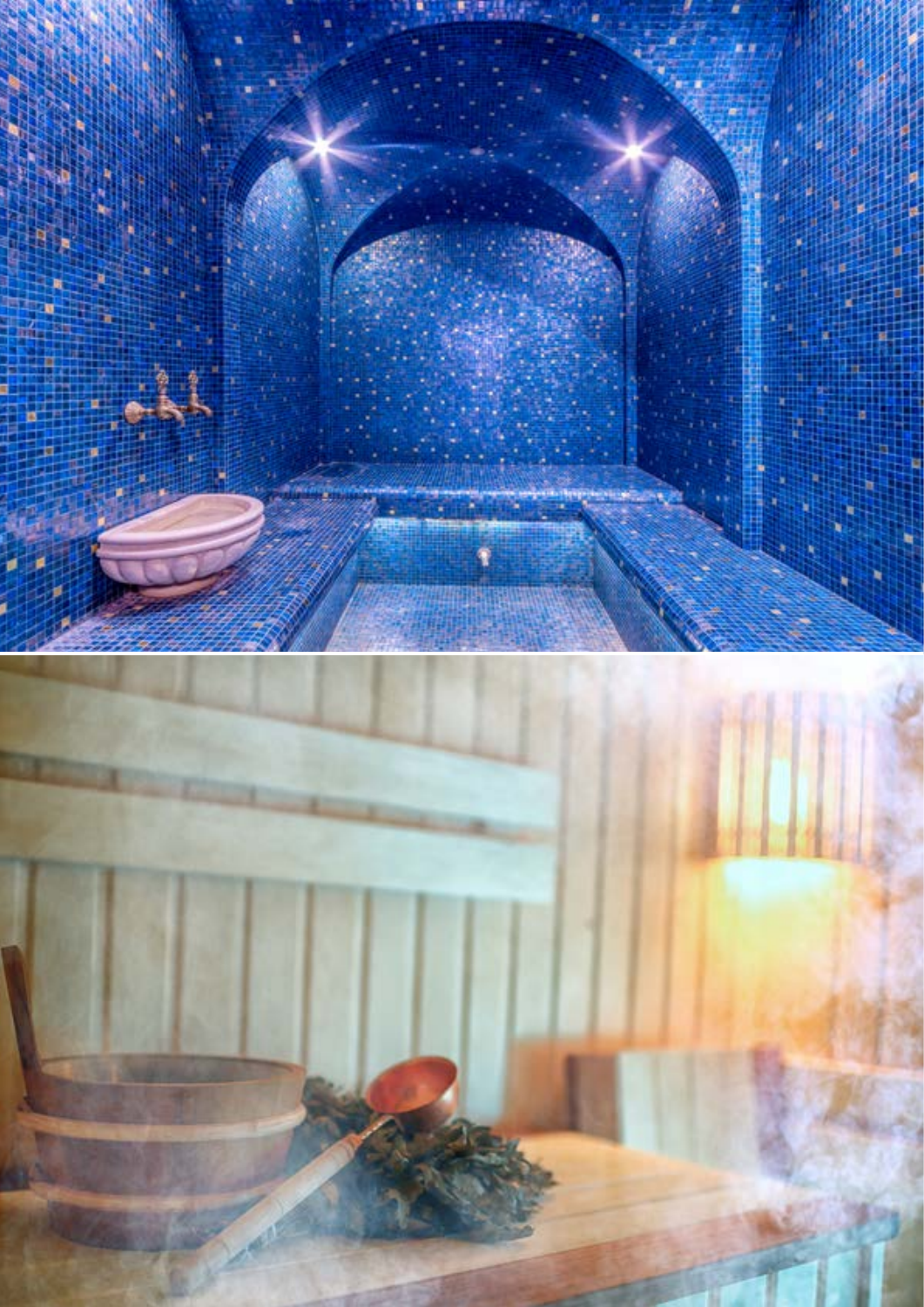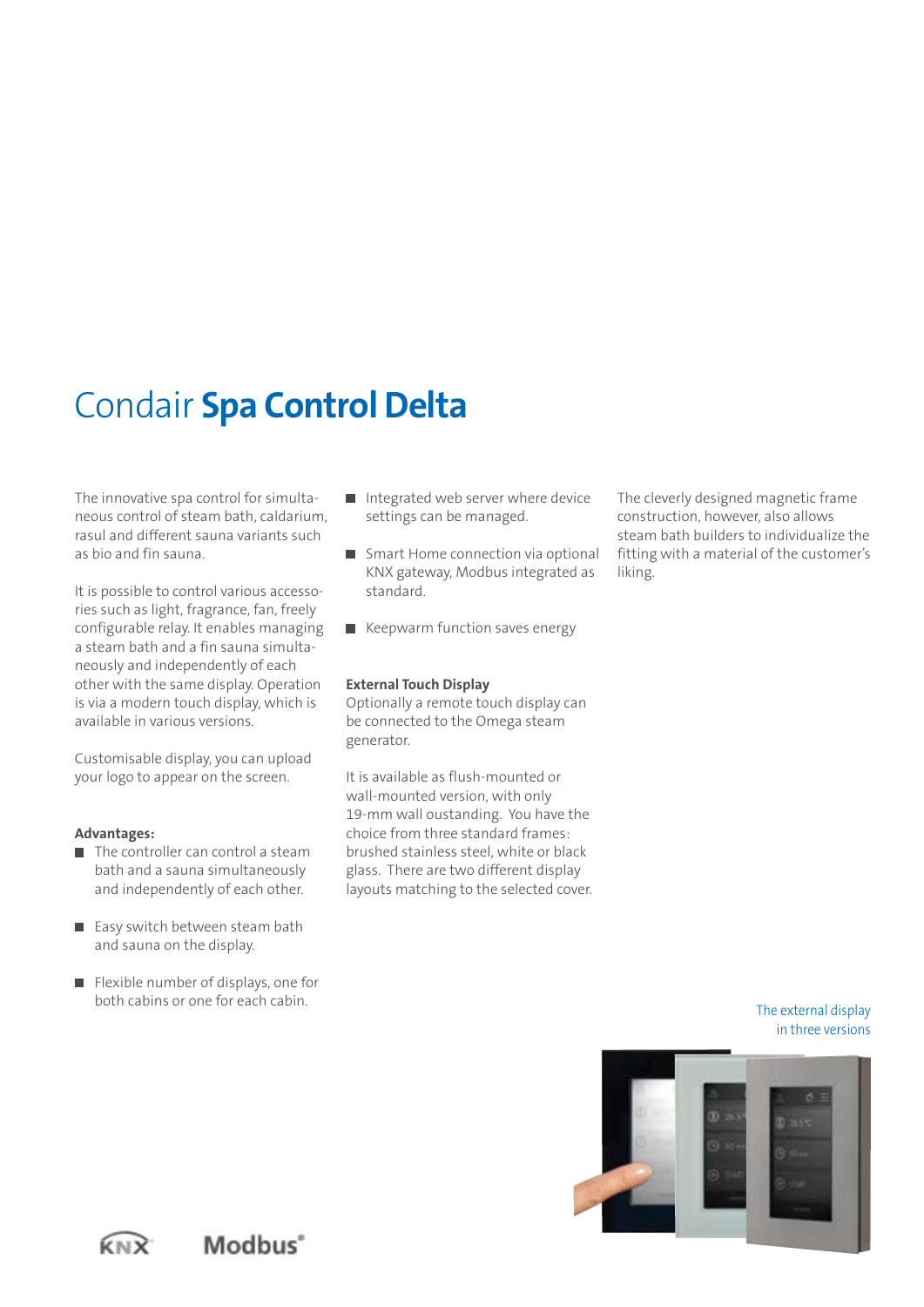# Condair **Spa Control Delta**

The innovative spa control for simultaneous control of steam bath, caldarium, rasul and different sauna variants such as bio and fin sauna.

It is possible to control various accessories such as light, fragrance, fan, freely configurable relay. It enables managing a steam bath and a fin sauna simultaneously and independently of each other with the same display. Operation is via a modern touch display, which is available in various versions.

Customisable display, you can upload your logo to appear on the screen.

### **Advantages:**

- $\blacksquare$  The controller can control a steam bath and a sauna simultaneously and independently of each other.
- Easy switch between steam bath and sauna on the display.
- $\blacksquare$  Flexible number of displays, one for both cabins or one for each cabin.
- $\blacksquare$  Integrated web server where device settings can be managed.
- Smart Home connection via optional KNX gateway, Modbus integrated as standard.
- $\blacksquare$  Keepwarm function saves energy

#### **External Touch Display**

Optionally a remote touch display can be connected to the Omega steam generator.

It is available as flush-mounted or wall-mounted version, with only 19-mm wall oustanding. You have the choice from three standard frames: brushed stainless steel, white or black glass. There are two different display layouts matching to the selected cover.

The cleverly designed magnetic frame construction, however, also allows steam bath builders to individualize the fitting with a material of the customer's liking.

#### The external display in three versions



Modbus<sup>®</sup> **KNY**